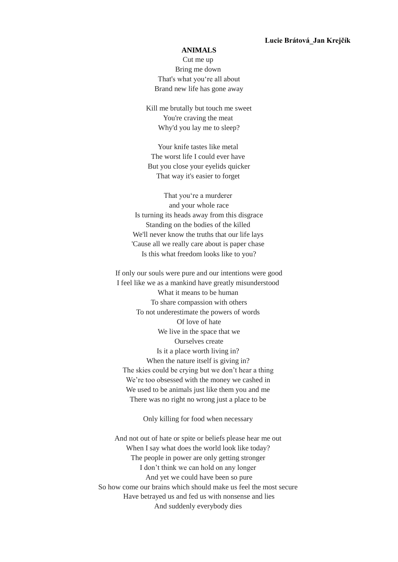## **Lucie Brátová\_Jan Krejčík**

## **ANIMALS**

Cut me up Bring me down That's what you're all about Brand new life has gone away

Kill me brutally but touch me sweet You're craving the meat Why'd you lay me to sleep?

Your knife tastes like metal The worst life I could ever have But you close your eyelids quicker That way it's easier to forget

That you're a murderer and your whole race Is turning its heads away from this disgrace Standing on the bodies of the killed We'll never know the truths that our life lays 'Cause all we really care about is paper chase Is this what freedom looks like to you?

If only our souls were pure and our intentions were good I feel like we as a mankind have greatly misunderstood What it means to be human To share compassion with others To not underestimate the powers of words Of love of hate We live in the space that we Ourselves create Is it a place worth living in? When the nature itself is giving in? The skies could be crying but we don't hear a thing We're too obsessed with the money we cashed in We used to be animals just like them you and me There was no right no wrong just a place to be

Only killing for food when necessary

And not out of hate or spite or beliefs please hear me out When I say what does the world look like today? The people in power are only getting stronger I don't think we can hold on any longer And yet we could have been so pure So how come our brains which should make us feel the most secure Have betrayed us and fed us with nonsense and lies And suddenly everybody dies